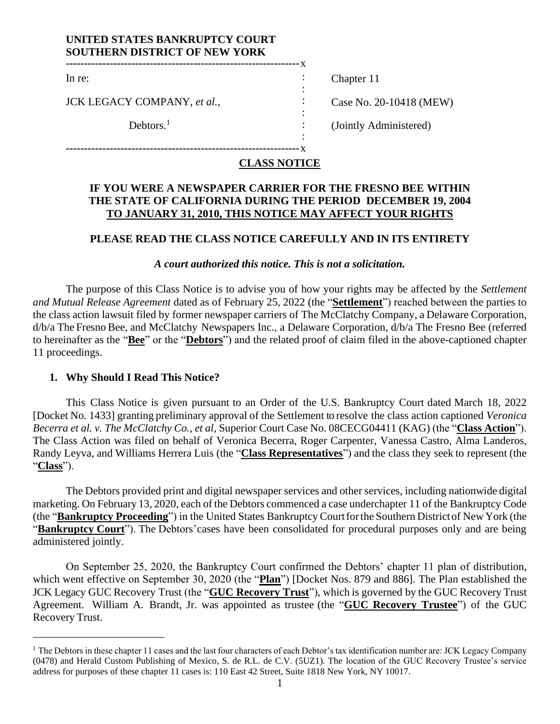## **UNITED STATES BANKRUPTCY COURT SOUTHERN DISTRICT OF NEW YORK**

**----------------------------------------------------------------**x

**----------------------------------------------------------------**x

In re:

JCK LEGACY COMPANY, *et al.*,

 $Debtors.<sup>1</sup>$ 

Chapter 11

Case No. 20-10418 (MEW)

(Jointly Administered)

# **CLASS NOTICE**

: : :  $\cdot$  : : :

## **IF YOU WERE A NEWSPAPER CARRIER FOR THE FRESNO BEE WITHIN THE STATE OF CALIFORNIA DURING THE PERIOD DECEMBER 19, 2004 TO JANUARY 31, 2010, THIS NOTICE MAY AFFECT YOUR RIGHTS**

# **PLEASE READ THE CLASS NOTICE CAREFULLY AND IN ITS ENTIRETY**

## *A court authorized this notice. This is not a solicitation.*

The purpose of this Class Notice is to advise you of how your rights may be affected by the *Settlement and Mutual Release Agreement* dated as of February 25, 2022 (the "**Settlement**") reached between the parties to the class action lawsuit filed by former newspaper carriers of The McClatchy Company, a Delaware Corporation, d/b/a The Fresno Bee, and McClatchy Newspapers Inc., a Delaware Corporation, d/b/a The Fresno Bee (referred to hereinafter as the "**Bee**" or the "**Debtors**") and the related proof of claim filed in the above-captioned chapter 11 proceedings.

# **1. Why Should I Read This Notice?**

This Class Notice is given pursuant to an Order of the U.S. Bankruptcy Court dated March 18, 2022 [Docket No. 1433] granting preliminary approval of the Settlement to resolve the class action captioned *Veronica Becerra et al. v. The McClatchy Co., et al*, Superior Court Case No. 08CECG04411 (KAG) (the "**Class Action**"). The Class Action was filed on behalf of Veronica Becerra, Roger Carpenter, Vanessa Castro, Alma Landeros, Randy Leyva, and Williams Herrera Luis (the "**Class Representatives**") and the class they seek to represent (the "**Class**").

The Debtors provided print and digital newspaper services and other services, including nationwide digital marketing. On February 13, 2020, each of the Debtors commenced a case underchapter 11 of the Bankruptcy Code (the "**Bankruptcy Proceeding**") in the United States Bankruptcy Courtforthe Southern Districtof New York (the "**Bankruptcy Court**"). The Debtors'cases have been consolidated for procedural purposes only and are being administered jointly.

On September 25, 2020, the Bankruptcy Court confirmed the Debtors' chapter 11 plan of distribution, which went effective on September 30, 2020 (the "**Plan**") [Docket Nos. 879 and 886]. The Plan established the JCK Legacy GUC Recovery Trust (the "**GUC Recovery Trust**"), which is governed by the GUC Recovery Trust Agreement. William A. Brandt, Jr. was appointed as trustee (the "**GUC Recovery Trustee**") of the GUC Recovery Trust.

 $<sup>1</sup>$  The Debtors in these chapter 11 cases and the last four characters of each Debtor's tax identification number are: JCK Legacy Company</sup> (0478) and Herald Custom Publishing of Mexico, S. de R.L. de C.V. (5UZ1). The location of the GUC Recovery Trustee's service address for purposes of these chapter 11 cases is: 110 East 42 Street, Suite 1818 New York, NY 10017.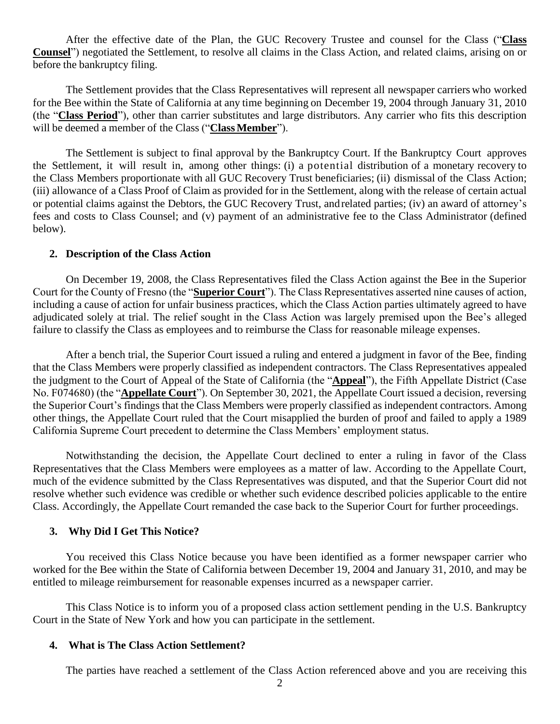After the effective date of the Plan, the GUC Recovery Trustee and counsel for the Class ("**Class Counsel**") negotiated the Settlement, to resolve all claims in the Class Action, and related claims, arising on or before the bankruptcy filing.

The Settlement provides that the Class Representatives will represent all newspaper carriers who worked for the Bee within the State of California at any time beginning on December 19, 2004 through January 31, 2010 (the "**Class Period**"), other than carrier substitutes and large distributors. Any carrier who fits this description will be deemed a member of the Class ("Class Member").

The Settlement is subject to final approval by the Bankruptcy Court. If the Bankruptcy Court approves the Settlement, it will result in, among other things: (i) a potential distribution of a monetary recovery to the Class Members proportionate with all GUC Recovery Trust beneficiaries; (ii) dismissal of the Class Action; (iii) allowance of a Class Proof of Claim as provided for in the Settlement, along with the release of certain actual or potential claims against the Debtors, the GUC Recovery Trust, and related parties; (iv) an award of attorney's fees and costs to Class Counsel; and (v) payment of an administrative fee to the Class Administrator (defined below).

#### **2. Description of the Class Action**

On December 19, 2008, the Class Representatives filed the Class Action against the Bee in the Superior Court for the County of Fresno (the "**Superior Court**"). The Class Representatives asserted nine causes of action, including a cause of action for unfair business practices, which the Class Action parties ultimately agreed to have adjudicated solely at trial. The relief sought in the Class Action was largely premised upon the Bee's alleged failure to classify the Class as employees and to reimburse the Class for reasonable mileage expenses.

After a bench trial, the Superior Court issued a ruling and entered a judgment in favor of the Bee, finding that the Class Members were properly classified as independent contractors. The Class Representatives appealed the judgment to the Court of Appeal of the State of California (the "**Appeal**"), the Fifth Appellate District (Case No. F074680) (the "**Appellate Court**"). On September 30, 2021, the Appellate Court issued a decision, reversing the Superior Court's findings that the Class Members were properly classified as independent contractors. Among other things, the Appellate Court ruled that the Court misapplied the burden of proof and failed to apply a 1989 California Supreme Court precedent to determine the Class Members' employment status.

Notwithstanding the decision, the Appellate Court declined to enter a ruling in favor of the Class Representatives that the Class Members were employees as a matter of law. According to the Appellate Court, much of the evidence submitted by the Class Representatives was disputed, and that the Superior Court did not resolve whether such evidence was credible or whether such evidence described policies applicable to the entire Class. Accordingly, the Appellate Court remanded the case back to the Superior Court for further proceedings.

#### **3. Why Did I Get This Notice?**

You received this Class Notice because you have been identified as a former newspaper carrier who worked for the Bee within the State of California between December 19, 2004 and January 31, 2010, and may be entitled to mileage reimbursement for reasonable expenses incurred as a newspaper carrier.

This Class Notice is to inform you of a proposed class action settlement pending in the U.S. Bankruptcy Court in the State of New York and how you can participate in the settlement.

#### **4. What is The Class Action Settlement?**

The parties have reached a settlement of the Class Action referenced above and you are receiving this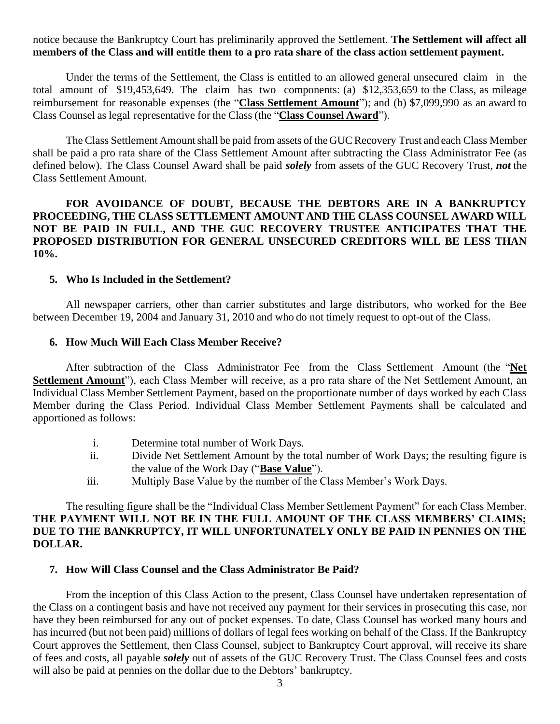### notice because the Bankruptcy Court has preliminarily approved the Settlement. **The Settlement will affect all members of the Class and will entitle them to a pro rata share of the class action settlement payment.**

Under the terms of the Settlement, the Class is entitled to an allowed general unsecured claim in the total amount of \$19,453,649. The claim has two components: (a) \$12,353,659 to the Class, as mileage reimbursement for reasonable expenses (the "**Class Settlement Amount**"); and (b) \$7,099,990 as an award to Class Counsel as legal representative for the Class (the "**Class Counsel Award**").

The Class Settlement Amount shall be paid from assets of the GUC Recovery Trust and each Class Member shall be paid a pro rata share of the Class Settlement Amount after subtracting the Class Administrator Fee (as defined below). The Class Counsel Award shall be paid *solely* from assets of the GUC Recovery Trust, *not* the Class Settlement Amount.

## **FOR AVOIDANCE OF DOUBT, BECAUSE THE DEBTORS ARE IN A BANKRUPTCY PROCEEDING, THE CLASS SETTLEMENT AMOUNT AND THE CLASS COUNSEL AWARD WILL NOT BE PAID IN FULL, AND THE GUC RECOVERY TRUSTEE ANTICIPATES THAT THE PROPOSED DISTRIBUTION FOR GENERAL UNSECURED CREDITORS WILL BE LESS THAN 10%.**

### **5. Who Is Included in the Settlement?**

All newspaper carriers, other than carrier substitutes and large distributors, who worked for the Bee between December 19, 2004 and January 31, 2010 and who do not timely request to opt-out of the Class.

#### **6. How Much Will Each Class Member Receive?**

After subtraction of the Class Administrator Fee from the Class Settlement Amount (the "**Net Settlement Amount**"), each Class Member will receive, as a pro rata share of the Net Settlement Amount, an Individual Class Member Settlement Payment, based on the proportionate number of days worked by each Class Member during the Class Period. Individual Class Member Settlement Payments shall be calculated and apportioned as follows:

- i. Determine total number of Work Days.
- ii. Divide Net Settlement Amount by the total number of Work Days; the resulting figure is the value of the Work Day ("**Base Value**").
- iii. Multiply Base Value by the number of the Class Member's Work Days.

The resulting figure shall be the "Individual Class Member Settlement Payment" for each Class Member. **THE PAYMENT WILL NOT BE IN THE FULL AMOUNT OF THE CLASS MEMBERS' CLAIMS; DUE TO THE BANKRUPTCY, IT WILL UNFORTUNATELY ONLY BE PAID IN PENNIES ON THE DOLLAR.**

### **7. How Will Class Counsel and the Class Administrator Be Paid?**

From the inception of this Class Action to the present, Class Counsel have undertaken representation of the Class on a contingent basis and have not received any payment for their services in prosecuting this case, nor have they been reimbursed for any out of pocket expenses. To date, Class Counsel has worked many hours and has incurred (but not been paid) millions of dollars of legal fees working on behalf of the Class. If the Bankruptcy Court approves the Settlement, then Class Counsel, subject to Bankruptcy Court approval, will receive its share of fees and costs, all payable *solely* out of assets of the GUC Recovery Trust. The Class Counsel fees and costs will also be paid at pennies on the dollar due to the Debtors' bankruptcy.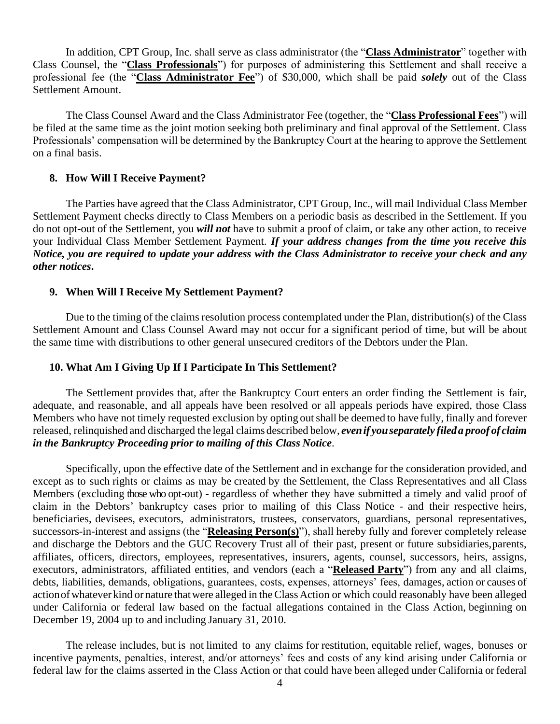In addition, CPT Group, Inc. shall serve as class administrator (the "**Class Administrator**" together with Class Counsel, the "**Class Professionals**") for purposes of administering this Settlement and shall receive a professional fee (the "**Class Administrator Fee**") of \$30,000, which shall be paid *solely* out of the Class Settlement Amount.

The Class Counsel Award and the Class Administrator Fee (together, the "**Class Professional Fees**") will be filed at the same time as the joint motion seeking both preliminary and final approval of the Settlement. Class Professionals' compensation will be determined by the Bankruptcy Court at the hearing to approve the Settlement on a final basis.

### **8. How Will I Receive Payment?**

The Parties have agreed that the Class Administrator, CPT Group, Inc., will mail Individual Class Member Settlement Payment checks directly to Class Members on a periodic basis as described in the Settlement. If you do not opt-out of the Settlement, you *will not* have to submit a proof of claim, or take any other action, to receive your Individual Class Member Settlement Payment. *If your address changes from the time you receive this Notice, you are required to update your address with the Class Administrator to receive your check and any other notices***.**

### **9. When Will I Receive My Settlement Payment?**

Due to the timing of the claims resolution process contemplated under the Plan, distribution(s) of the Class Settlement Amount and Class Counsel Award may not occur for a significant period of time, but will be about the same time with distributions to other general unsecured creditors of the Debtors under the Plan.

### **10. What Am I Giving Up If I Participate In This Settlement?**

The Settlement provides that, after the Bankruptcy Court enters an order finding the Settlement is fair, adequate, and reasonable, and all appeals have been resolved or all appeals periods have expired, those Class Members who have not timely requested exclusion by opting outshall be deemed to have fully, finally and forever released, relinquished and discharged the legal claims described below, *evenif youseparately fileda proof of claim in the Bankruptcy Proceeding prior to mailing of this Class Notice*.

Specifically, upon the effective date of the Settlement and in exchange for the consideration provided, and except as to such rights or claims as may be created by the Settlement, the Class Representatives and all Class Members (excluding those who opt-out) - regardless of whether they have submitted a timely and valid proof of claim in the Debtors' bankruptcy cases prior to mailing of this Class Notice - and their respective heirs, beneficiaries, devisees, executors, administrators, trustees, conservators, guardians, personal representatives, successors-in-interest and assigns (the "**Releasing Person(s)**"), shall hereby fully and forever completely release and discharge the Debtors and the GUC Recovery Trust all of their past, present or future subsidiaries, parents, affiliates, officers, directors, employees, representatives, insurers, agents, counsel, successors, heirs, assigns, executors, administrators, affiliated entities, and vendors (each a "**Released Party**") from any and all claims, debts, liabilities, demands, obligations, guarantees, costs, expenses, attorneys' fees, damages, action or causes of action of whatever kind or nature that were alleged in the Class Action or which could reasonably have been alleged under California or federal law based on the factual allegations contained in the Class Action, beginning on December 19, 2004 up to and including January 31, 2010.

The release includes, but is not limited to any claims for restitution, equitable relief, wages, bonuses or incentive payments, penalties, interest, and/or attorneys' fees and costs of any kind arising under California or federal law for the claims asserted in the Class Action or that could have been alleged under California or federal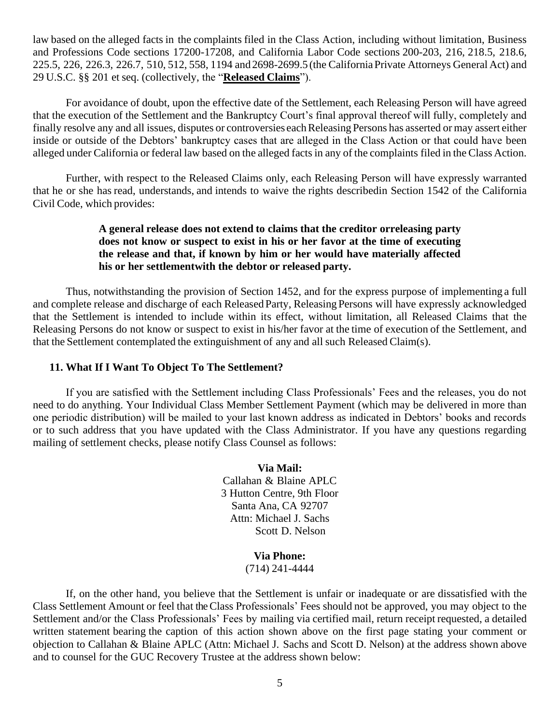law based on the alleged facts in the complaints filed in the Class Action, including without limitation, Business and Professions Code sections 17200-17208, and California Labor Code sections 200-203, 216, 218.5, 218.6, 225.5, 226, 226.3, 226.7, 510, 512, 558, 1194 and 2698-2699.5 (the CaliforniaPrivate Attorneys General Act) and 29 U.S.C. §§ 201 et seq. (collectively, the "**Released Claims**").

For avoidance of doubt, upon the effective date of the Settlement, each Releasing Person will have agreed that the execution of the Settlement and the Bankruptcy Court's final approval thereof will fully, completely and finally resolve any and all issues, disputes or controversies each Releasing Persons has asserted or may assert either inside or outside of the Debtors' bankruptcy cases that are alleged in the Class Action or that could have been alleged under California or federal law based on the alleged facts in any of the complaints filed in the Class Action.

Further, with respect to the Released Claims only, each Releasing Person will have expressly warranted that he or she has read, understands, and intends to waive the rights describedin Section 1542 of the California Civil Code, which provides:

## **A general release does not extend to claims that the creditor orreleasing party does not know or suspect to exist in his or her favor at the time of executing the release and that, if known by him or her would have materially affected his or her settlementwith the debtor or released party.**

Thus, notwithstanding the provision of Section 1452, and for the express purpose of implementing a full and complete release and discharge of each Released Party, Releasing Persons will have expressly acknowledged that the Settlement is intended to include within its effect, without limitation, all Released Claims that the Releasing Persons do not know or suspect to exist in his/her favor at the time of execution of the Settlement, and that the Settlement contemplated the extinguishment of any and all such Released Claim(s).

### **11. What If I Want To Object To The Settlement?**

If you are satisfied with the Settlement including Class Professionals' Fees and the releases, you do not need to do anything. Your Individual Class Member Settlement Payment (which may be delivered in more than one periodic distribution) will be mailed to your last known address as indicated in Debtors' books and records or to such address that you have updated with the Class Administrator. If you have any questions regarding mailing of settlement checks, please notify Class Counsel as follows:

> **Via Mail:** Callahan & Blaine APLC 3 Hutton Centre, 9th Floor Santa Ana, CA 92707 Attn: Michael J. Sachs Scott D. Nelson

> > **Via Phone:** (714) 241-4444

If, on the other hand, you believe that the Settlement is unfair or inadequate or are dissatisfied with the Class Settlement Amount or feel that the Class Professionals' Fees should not be approved, you may object to the Settlement and/or the Class Professionals' Fees by mailing via certified mail, return receipt requested, a detailed written statement bearing the caption of this action shown above on the first page stating your comment or objection to Callahan & Blaine APLC (Attn: Michael J. Sachs and Scott D. Nelson) at the address shown above and to counsel for the GUC Recovery Trustee at the address shown below: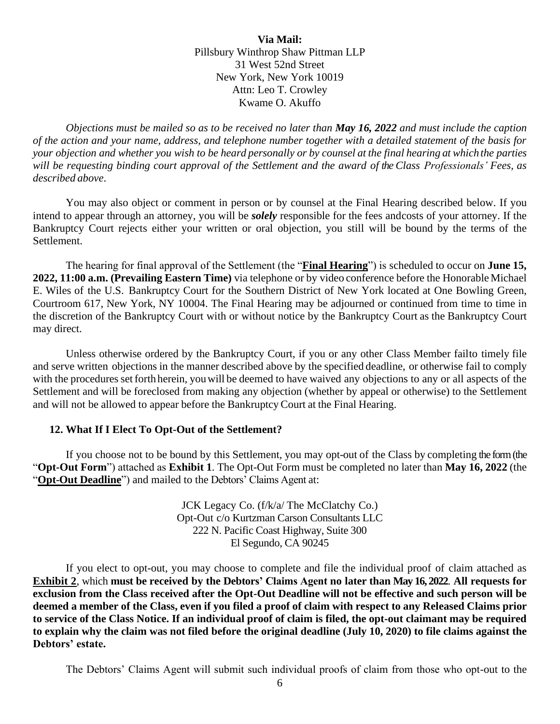**Via Mail:** Pillsbury Winthrop Shaw Pittman LLP 31 West 52nd Street New York, New York 10019 Attn: Leo T. Crowley Kwame O. Akuffo

*Objections must be mailed so as to be received no later than May 16, 2022 and must include the caption of the action and your name, address, and telephone number together with a detailed statement of the basis for*  your objection and whether you wish to be heard personally or by counsel at the final hearing at which the parties *will be requesting binding court approval of the Settlement and the award of the Class Professionals' Fees, as described above*.

You may also object or comment in person or by counsel at the Final Hearing described below. If you intend to appear through an attorney, you will be *solely* responsible for the fees andcosts of your attorney. If the Bankruptcy Court rejects either your written or oral objection, you still will be bound by the terms of the Settlement.

The hearing for final approval of the Settlement (the "**Final Hearing**") is scheduled to occur on **June 15, 2022, 11:00 a.m. (Prevailing Eastern Time)** via telephone or by video conference before the Honorable Michael E. Wiles of the U.S. Bankruptcy Court for the Southern District of New York located at One Bowling Green, Courtroom 617, New York, NY 10004. The Final Hearing may be adjourned or continued from time to time in the discretion of the Bankruptcy Court with or without notice by the Bankruptcy Court as the Bankruptcy Court may direct.

Unless otherwise ordered by the Bankruptcy Court, if you or any other Class Member failto timely file and serve written objections in the manner described above by the specified deadline, or otherwise fail to comply with the procedures set forth herein, you will be deemed to have waived any objections to any or all aspects of the Settlement and will be foreclosed from making any objection (whether by appeal or otherwise) to the Settlement and will not be allowed to appear before the Bankruptcy Court at the Final Hearing.

### **12. What If I Elect To Opt-Out of the Settlement?**

If you choose not to be bound by this Settlement, you may opt-out of the Class by completing the form (the "**Opt-Out Form**") attached as **Exhibit 1**. The Opt-Out Form must be completed no later than **May 16, 2022** (the "**Opt-Out Deadline**") and mailed to the Debtors' Claims Agent at:

> JCK Legacy Co. (f/k/a/ The McClatchy Co.) Opt-Out c/o Kurtzman Carson Consultants LLC 222 N. Pacific Coast Highway, Suite 300 El Segundo, CA 90245

If you elect to opt-out, you may choose to complete and file the individual proof of claim attached as **Exhibit 2**, which **must be received by the Debtors' Claims Agent no later than May 16, 2022**. **All requests for exclusion from the Class received after the Opt-Out Deadline will not be effective and such person will be deemed a member of the Class, even if you filed a proof of claim with respect to any Released Claims prior to service of the Class Notice. If an individual proof of claim is filed, the opt-out claimant may be required to explain why the claim was not filed before the original deadline (July 10, 2020) to file claims against the Debtors' estate.** 

The Debtors' Claims Agent will submit such individual proofs of claim from those who opt-out to the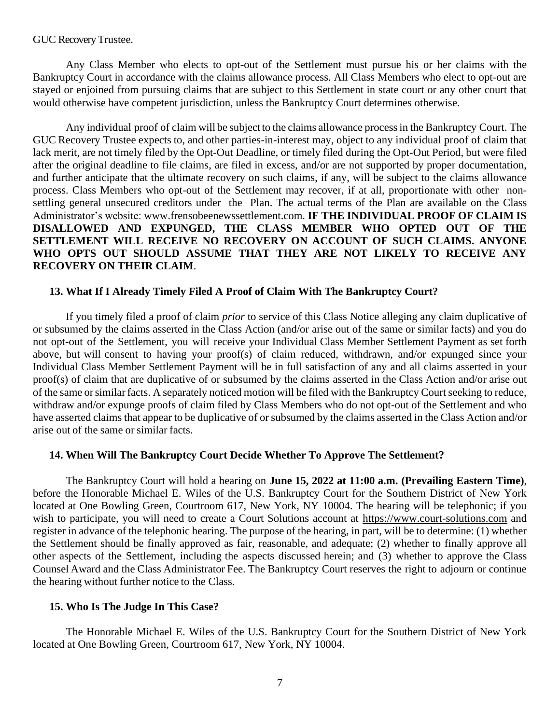#### GUC Recovery Trustee.

Any Class Member who elects to opt-out of the Settlement must pursue his or her claims with the Bankruptcy Court in accordance with the claims allowance process. All Class Members who elect to opt-out are stayed or enjoined from pursuing claims that are subject to this Settlement in state court or any other court that would otherwise have competent jurisdiction, unless the Bankruptcy Court determines otherwise.

Any individual proof of claim will be subject to the claims allowance processin the Bankruptcy Court. The GUC Recovery Trustee expects to, and other parties-in-interest may, object to any individual proof of claim that lack merit, are not timely filed by the Opt-Out Deadline, or timely filed during the Opt-Out Period, but were filed after the original deadline to file claims, are filed in excess, and/or are not supported by proper documentation, and further anticipate that the ultimate recovery on such claims, if any, will be subject to the claims allowance process. Class Members who opt-out of the Settlement may recover, if at all, proportionate with other nonsettling general unsecured creditors under the Plan. The actual terms of the Plan are available on the Class Administrator's website: www.frensobeenewssettlement.com. **IF THE INDIVIDUAL PROOF OF CLAIM IS DISALLOWED AND EXPUNGED, THE CLASS MEMBER WHO OPTED OUT OF THE SETTLEMENT WILL RECEIVE NO RECOVERY ON ACCOUNT OF SUCH CLAIMS. ANYONE WHO OPTS OUT SHOULD ASSUME THAT THEY ARE NOT LIKELY TO RECEIVE ANY RECOVERY ON THEIR CLAIM**.

#### **13. What If I Already Timely Filed A Proof of Claim With The Bankruptcy Court?**

If you timely filed a proof of claim *prior* to service of this Class Notice alleging any claim duplicative of or subsumed by the claims asserted in the Class Action (and/or arise out of the same or similar facts) and you do not opt-out of the Settlement, you will receive your Individual Class Member Settlement Payment as set forth above, but will consent to having your proof(s) of claim reduced, withdrawn, and/or expunged since your Individual Class Member Settlement Payment will be in full satisfaction of any and all claims asserted in your proof(s) of claim that are duplicative of or subsumed by the claims asserted in the Class Action and/or arise out of the same orsimilarfacts. A separately noticed motion will be filed with the Bankruptcy Court seeking to reduce, withdraw and/or expunge proofs of claim filed by Class Members who do not opt-out of the Settlement and who have asserted claims that appear to be duplicative of or subsumed by the claims asserted in the Class Action and/or arise out of the same or similar facts.

### **14. When Will The Bankruptcy Court Decide Whether To Approve The Settlement?**

The Bankruptcy Court will hold a hearing on **June 15, 2022 at 11:00 a.m. (Prevailing Eastern Time)**, before the Honorable Michael E. Wiles of the U.S. Bankruptcy Court for the Southern District of New York located at One Bowling Green, Courtroom 617, New York, NY 10004. The hearing will be telephonic; if you wish to participate, you will need to create a Court Solutions account at https://www.court-solutions.com and register in advance of the telephonic hearing. The purpose of the hearing, in part, will be to determine: (1) whether the Settlement should be finally approved as fair, reasonable, and adequate; (2) whether to finally approve all other aspects of the Settlement, including the aspects discussed herein; and (3) whether to approve the Class Counsel Award and the Class Administrator Fee. The Bankruptcy Court reserves the right to adjourn or continue the hearing without further notice to the Class.

#### **15. Who Is The Judge In This Case?**

The Honorable Michael E. Wiles of the U.S. Bankruptcy Court for the Southern District of New York located at One Bowling Green, Courtroom 617, New York, NY 10004.